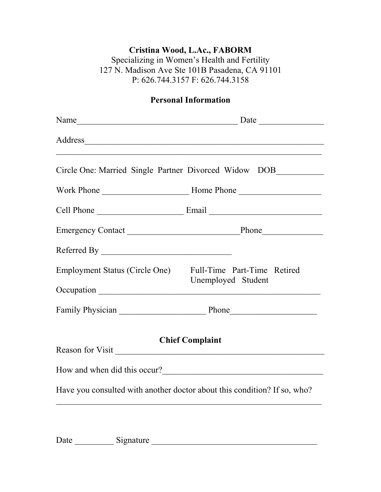## **Cristina Wood, L.Ac., FABORM**

Specializing in Women's Health and Fertility 127 N. Madison Ave Ste 101B Pasadena, CA 91101 P: 626.744.3157 F: 626.744.3158

## **Personal Information**

|                                                            | Circle One: Married Single Partner Divorced Widow DOB__________          |  |
|------------------------------------------------------------|--------------------------------------------------------------------------|--|
|                                                            |                                                                          |  |
|                                                            |                                                                          |  |
|                                                            |                                                                          |  |
|                                                            |                                                                          |  |
| Employment Status (Circle One) Full-Time Part-Time Retired | Unemployed Student                                                       |  |
|                                                            |                                                                          |  |
|                                                            |                                                                          |  |
| <b>Chief Complaint</b><br>Reason for Visit                 |                                                                          |  |
|                                                            |                                                                          |  |
|                                                            | Have you consulted with another doctor about this condition? If so, who? |  |
|                                                            |                                                                          |  |

Date \_\_\_\_\_\_\_\_\_ Signature \_\_\_\_\_\_\_\_\_\_\_\_\_\_\_\_\_\_\_\_\_\_\_\_\_\_\_\_\_\_\_\_\_\_\_\_\_\_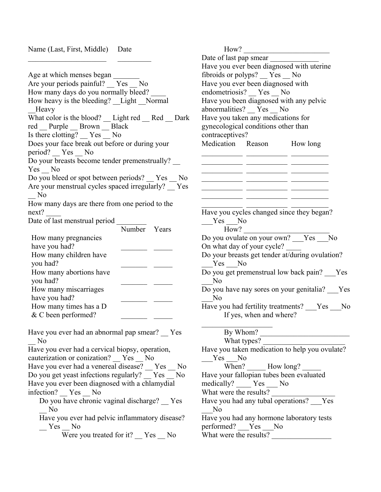Name (Last, First, Middle) Date

 $\mathcal{L}_\text{max}$ 

Age at which menses began Are your periods painful? Yes No How many days do you normally bleed? How heavy is the bleeding? Light Normal \_\_Heavy What color is the blood? \_\_ Light red \_\_ Red \_ Dark red Purple Brown Black Is there clotting? Yes No Does your face break out before or during your period? Yes \_ No Do your breasts become tender premenstrually? Yes No Do you bleed or spot between periods? Yes No Are your menstrual cycles spaced irregularly? Yes \_\_ No How many days are there from one period to the next? Date of last menstrual period Number Years How many pregnancies have you had? How many children have you had? How many abortions have you had? How many miscarriages have you had? How many times has a D  $&$  C been performed? Have you ever had an abnormal pap smear? Yes \_\_ No Have you ever had a cervical biopsy, operation, cauterization or conization? Yes No Have you ever had a venereal disease? \_\_ Yes \_\_ No Do you get yeast infections regularly? \_\_ Yes \_\_ No Have you ever been diagnosed with a chlamydial infection? Yes \_\_ No Do you have chronic vaginal discharge? Yes \_\_ No Have you ever had pelvic inflammatory disease?  $Yes$  No Were you treated for it?  $Yes$  No

How? \_\_\_\_\_\_\_\_\_\_\_\_\_\_\_\_\_\_\_\_\_\_\_ Date of last pap smear Have you ever been diagnosed with uterine fibroids or polyps? \_\_ Yes \_\_ No Have you ever been diagnosed with endometriosis? Yes No Have you been diagnosed with any pelvic abnormalities? Yes No Have you taken any medications for gynecological conditions other than contraceptives? Medication Reason How long  $\frac{1}{2}$  ,  $\frac{1}{2}$  ,  $\frac{1}{2}$  ,  $\frac{1}{2}$  ,  $\frac{1}{2}$  ,  $\frac{1}{2}$  ,  $\frac{1}{2}$  ,  $\frac{1}{2}$  ,  $\frac{1}{2}$  ,  $\frac{1}{2}$  ,  $\frac{1}{2}$  ,  $\frac{1}{2}$  ,  $\frac{1}{2}$  ,  $\frac{1}{2}$  ,  $\frac{1}{2}$  ,  $\frac{1}{2}$  ,  $\frac{1}{2}$  ,  $\frac{1}{2}$  ,  $\frac{1$ \_\_\_\_\_\_\_\_\_\_\_ \_\_\_\_\_\_\_\_\_\_\_ \_\_\_\_\_\_\_\_\_\_ \_\_\_\_\_\_\_\_\_\_\_ \_\_\_\_\_\_\_\_\_\_\_ \_\_\_\_\_\_\_\_\_\_ \_\_\_\_\_\_\_\_\_\_\_ \_\_\_\_\_\_\_\_\_\_\_ \_\_\_\_\_\_\_\_\_\_ \_\_\_\_\_\_\_\_\_\_\_ \_\_\_\_\_\_\_\_\_\_\_ \_\_\_\_\_\_\_\_\_\_  $\overline{\phantom{a}}$  ,  $\overline{\phantom{a}}$  ,  $\overline{\phantom{a}}$  ,  $\overline{\phantom{a}}$  ,  $\overline{\phantom{a}}$  ,  $\overline{\phantom{a}}$  ,  $\overline{\phantom{a}}$  ,  $\overline{\phantom{a}}$  ,  $\overline{\phantom{a}}$  ,  $\overline{\phantom{a}}$  ,  $\overline{\phantom{a}}$  ,  $\overline{\phantom{a}}$  ,  $\overline{\phantom{a}}$  ,  $\overline{\phantom{a}}$  ,  $\overline{\phantom{a}}$  ,  $\overline{\phantom{a}}$  $\frac{1}{2}$  ,  $\frac{1}{2}$  ,  $\frac{1}{2}$  ,  $\frac{1}{2}$  ,  $\frac{1}{2}$  ,  $\frac{1}{2}$  ,  $\frac{1}{2}$  ,  $\frac{1}{2}$  ,  $\frac{1}{2}$  ,  $\frac{1}{2}$  ,  $\frac{1}{2}$  ,  $\frac{1}{2}$  ,  $\frac{1}{2}$  ,  $\frac{1}{2}$  ,  $\frac{1}{2}$  ,  $\frac{1}{2}$  ,  $\frac{1}{2}$  ,  $\frac{1}{2}$  ,  $\frac{1$ Have you cycles changed since they began? Yes No How? Do you ovulate on your own? Yes No On what day of your cycle? Do your breasts get tender at/during ovulation? Yes No Do you get premenstrual low back pain? Yes  $\rm No$ Do you have nay sores on your genitalia? Yes N<sub>o</sub> Have you had fertility treatments? \_\_\_Yes \_\_\_No If yes, when and where?  $\mathcal{L}_\text{max}$  , where  $\mathcal{L}_\text{max}$  is the set of  $\mathcal{L}_\text{max}$ By Whom? What types? Have you taken medication to help you ovulate? Yes No When? How long? Have your fallopian tubes been evaluated medically? \_\_\_\_ Yes \_\_\_ No What were the results? Have you had any tubal operations? Yes  $\overline{N}$ o Have you had any hormone laboratory tests performed? Yes No What were the results?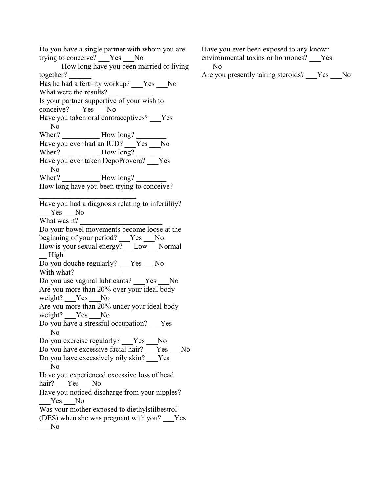Do you have a single partner with whom you are trying to conceive? Yes No How long have you been married or living together? Has he had a fertility workup? Yes No What were the results? Is your partner supportive of your wish to conceive? Yes No Have you taken oral contraceptives? Yes  $\overline{N}$ o When? How long? Have you ever had an IUD?  $\overline{Y}$ es  $\overline{N}$ o When? How long? Have you ever taken DepoProvera? Yes  $\sim$  No When? How long? How long have you been trying to conceive?  $\mathcal{L}_\text{max}$  , where  $\mathcal{L}_\text{max}$  and  $\mathcal{L}_\text{max}$ Have you had a diagnosis relating to infertility? Yes No What was it? Do your bowel movements become loose at the beginning of your period? Yes No How is your sexual energy? Low Normal \_\_ High Do you douche regularly? \_\_\_Yes \_\_\_No With what? Do you use vaginal lubricants? Yes No Are you more than 20% over your ideal body weight? \_\_\_Yes \_\_\_No Are you more than 20% under your ideal body weight? Yes No Do you have a stressful occupation? Yes  $\overline{N}$ o Do you exercise regularly? Yes No Do you have excessive facial hair? Yes No Do you have excessively oily skin? Yes  $\overline{N}$ o Have you experienced excessive loss of head hair? Yes No Have you noticed discharge from your nipples? Yes No Was your mother exposed to diethylstilbestrol (DES) when she was pregnant with you? \_\_\_Yes \_\_\_No

Have you ever been exposed to any known environmental toxins or hormones? \_\_\_Yes

 $\overline{N}$ o

Are you presently taking steroids? Yes No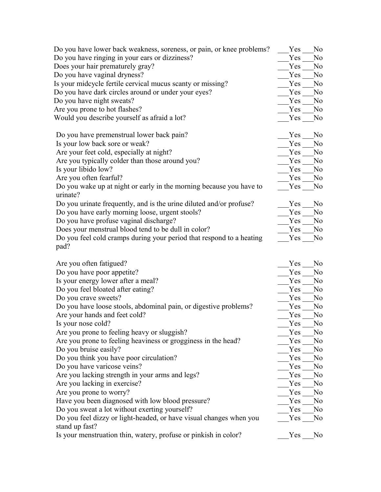| Do you have lower back weakness, soreness, or pain, or knee problems?                | Yes | N <sub>0</sub> |
|--------------------------------------------------------------------------------------|-----|----------------|
| Do you have ringing in your ears or dizziness?                                       | Yes | N <sub>0</sub> |
| Does your hair prematurely gray?                                                     | Yes | N <sub>0</sub> |
| Do you have vaginal dryness?                                                         | Yes | N <sub>0</sub> |
| Is your midcycle fertile cervical mucus scanty or missing?                           | Yes | N <sub>0</sub> |
| Do you have dark circles around or under your eyes?                                  | Yes | N <sub>0</sub> |
| Do you have night sweats?                                                            | Yes | N <sub>0</sub> |
| Are you prone to hot flashes?                                                        | Yes | N <sub>0</sub> |
| Would you describe yourself as afraid a lot?                                         | Yes | N <sub>0</sub> |
| Do you have premenstrual lower back pain?                                            | Yes | N <sub>0</sub> |
| Is your low back sore or weak?                                                       | Yes | N <sub>0</sub> |
| Are your feet cold, especially at night?                                             | Yes | N <sub>0</sub> |
| Are you typically colder than those around you?                                      | Yes | N <sub>0</sub> |
| Is your libido low?                                                                  | Yes | No             |
| Are you often fearful?                                                               | Yes | N <sub>0</sub> |
| Do you wake up at night or early in the morning because you have to                  | Yes | N <sub>0</sub> |
| urinate?<br>Do you urinate frequently, and is the urine diluted and/or profuse?      | Yes | N <sub>0</sub> |
| Do you have early morning loose, urgent stools?                                      | Yes | N <sub>o</sub> |
| Do you have profuse vaginal discharge?                                               | Yes | N <sub>0</sub> |
| Does your menstrual blood tend to be dull in color?                                  | Yes | N <sub>0</sub> |
| Do you feel cold cramps during your period that respond to a heating                 | Yes | N <sub>0</sub> |
| pad?                                                                                 |     |                |
| Are you often fatigued?                                                              | Yes | N <sub>0</sub> |
| Do you have poor appetite?                                                           | Yes | N <sub>0</sub> |
| Is your energy lower after a meal?                                                   | Yes | N <sub>0</sub> |
| Do you feel bloated after eating?                                                    | Yes | N <sub>0</sub> |
| Do you crave sweets?                                                                 | Yes | N <sub>0</sub> |
| Do you have loose stools, abdominal pain, or digestive problems?                     | Yes | N <sub>0</sub> |
| Are your hands and feet cold?                                                        | Yes | N <sub>0</sub> |
| Is your nose cold?                                                                   | Yes | N <sub>0</sub> |
| Are you prone to feeling heavy or sluggish?                                          | Yes | N <sub>0</sub> |
| Are you prone to feeling heaviness or grogginess in the head?                        | Yes | N <sub>0</sub> |
| Do you bruise easily?                                                                | Yes | N <sub>0</sub> |
| Do you think you have poor circulation?                                              | Yes | N <sub>0</sub> |
| Do you have varicose veins?                                                          | Yes | N <sub>0</sub> |
| Are you lacking strength in your arms and legs?                                      | Yes | N <sub>0</sub> |
| Are you lacking in exercise?                                                         | Yes | N <sub>0</sub> |
| Are you prone to worry?                                                              | Yes | N <sub>0</sub> |
| Have you been diagnosed with low blood pressure?                                     | Yes | N <sub>0</sub> |
| Do you sweat a lot without exerting yourself?                                        | Yes | N <sub>0</sub> |
| Do you feel dizzy or light-headed, or have visual changes when you<br>stand up fast? | Yes | N <sub>0</sub> |
| Is your menstruation thin, watery, profuse or pinkish in color?                      | Yes | N <sub>0</sub> |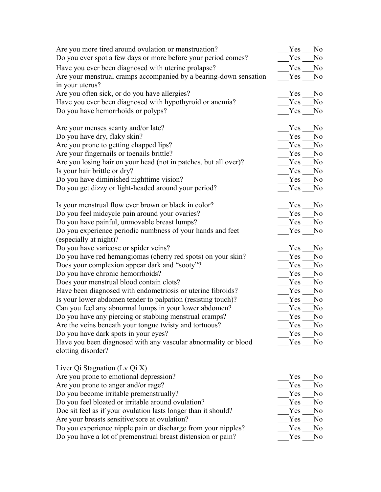| Are you more tired around ovulation or menstruation?                                 | Yes | N <sub>0</sub> |
|--------------------------------------------------------------------------------------|-----|----------------|
| Do you ever spot a few days or more before your period comes?                        | Yes | No             |
| Have you ever been diagnosed with uterine prolapse?                                  | Yes | No             |
| Are your menstrual cramps accompanied by a bearing-down sensation<br>in your uterus? | Yes | N <sub>0</sub> |
| Are you often sick, or do you have allergies?                                        | Yes | N <sub>o</sub> |
| Have you ever been diagnosed with hypothyroid or anemia?                             | Yes | N <sub>0</sub> |
| Do you have hemorrhoids or polyps?                                                   | Yes | N <sub>0</sub> |
| Are your menses scanty and/or late?                                                  | Yes | N <sub>0</sub> |
| Do you have dry, flaky skin?                                                         | Yes | No.            |
| Are you prone to getting chapped lips?                                               | Yes | N <sub>o</sub> |
| Are your fingernails or toenails brittle?                                            | Yes | N <sub>o</sub> |
| Are you losing hair on your head (not in patches, but all over)?                     | Yes | N <sub>o</sub> |
| Is your hair brittle or dry?                                                         | Yes | N <sub>0</sub> |
| Do you have diminished nighttime vision?                                             | Yes | N <sub>0</sub> |
| Do you get dizzy or light-headed around your period?                                 | Yes | N <sub>0</sub> |
| Is your menstrual flow ever brown or black in color?                                 | Yes | N <sub>o</sub> |
| Do you feel midcycle pain around your ovaries?                                       | Yes | N <sub>o</sub> |
| Do you have painful, unmovable breast lumps?                                         | Yes | N <sub>0</sub> |
| Do you experience periodic numbness of your hands and feet<br>(especially at night)? | Yes | N <sub>0</sub> |
| Do you have varicose or spider veins?                                                | Yes | N <sub>o</sub> |
| Do you have red hemangiomas (cherry red spots) on your skin?                         | Yes | N <sub>o</sub> |
| Does your complexion appear dark and "sooty"?                                        | Yes | N <sub>o</sub> |
| Do you have chronic hemorrhoids?                                                     | Yes | N <sub>0</sub> |
| Does your menstrual blood contain clots?                                             | Yes | N <sub>0</sub> |
| Have been diagnosed with endometriosis or uterine fibroids?                          | Yes | N <sub>o</sub> |
| Is your lower abdomen tender to palpation (resisting touch)?                         | Yes | N <sub>0</sub> |
| Can you feel any abnormal lumps in your lower abdomen?                               | Yes | N <sub>0</sub> |
| Do you have any piercing or stabbing menstrual cramps?                               | Yes | N <sub>0</sub> |
| Are the veins beneath your tongue twisty and tortuous?                               | Yes | No             |
| Do you have dark spots in your eyes?                                                 | Yes | No             |
| Have you been diagnosed with any vascular abnormality or blood<br>clotting disorder? | Yes | N <sub>0</sub> |
|                                                                                      |     |                |
| Liver Qi Stagnation (Lv Qi X)<br>Are you prone to emotional depression?              | Yes | No.            |
| Are you prone to anger and/or rage?                                                  | Yes | N <sub>0</sub> |
| Do you become irritable premenstrually?                                              | Yes | No             |
| Do you feel bloated or irritable around ovulation?                                   | Yes | N <sub>0</sub> |
| Doe sit feel as if your ovulation lasts longer than it should?                       | Yes | N <sub>0</sub> |
| Are your breasts sensitive/sore at ovulation?                                        | Yes | N <sub>0</sub> |
|                                                                                      |     |                |

Do you experience nipple pain or discharge from your nipples? The Mo Do you have a lot of premenstrual breast distension or pain? The Mo